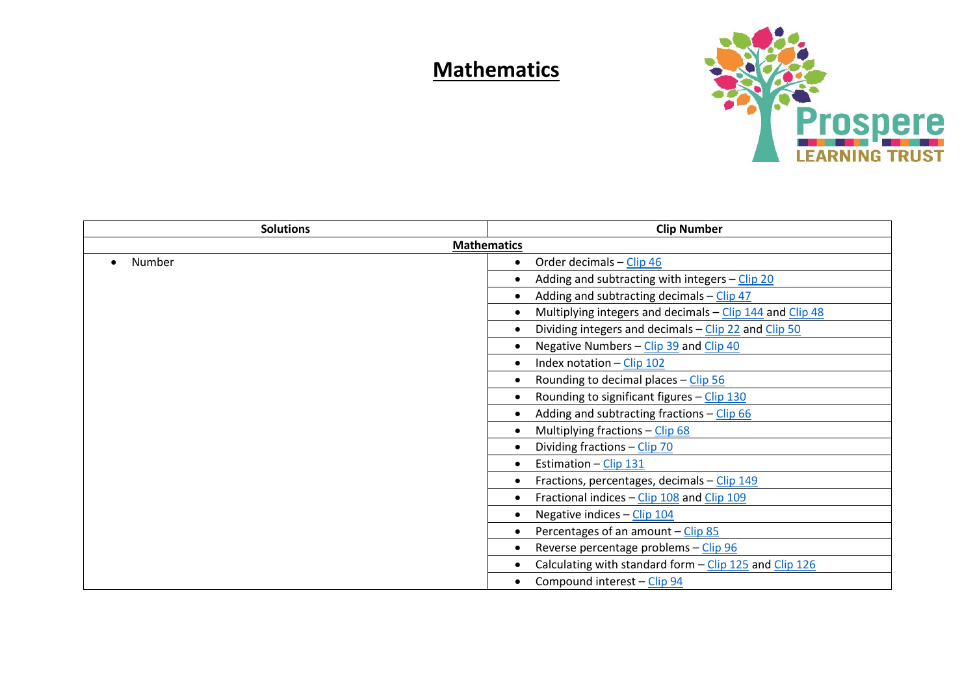## **Mathematics**



| <b>Solutions</b>   | <b>Clip Number</b>                                                         |
|--------------------|----------------------------------------------------------------------------|
| <b>Mathematics</b> |                                                                            |
| Number             | Order decimals - Clip 46                                                   |
|                    | Adding and subtracting with integers - Clip 20                             |
|                    | Adding and subtracting decimals $-\frac{\text{Clip } 47}{\text{clip } 47}$ |
|                    | Multiplying integers and decimals - Clip 144 and Clip 48                   |
|                    | Dividing integers and decimals – Clip 22 and Clip 50                       |
|                    | Negative Numbers - Clip 39 and Clip 40                                     |
|                    | Index notation $-$ Clip 102                                                |
|                    | Rounding to decimal places - Clip 56                                       |
|                    | Rounding to significant figures - Clip 130                                 |
|                    | Adding and subtracting fractions - Clip 66                                 |
|                    | Multiplying fractions - Clip 68                                            |
|                    | Dividing fractions - Clip 70                                               |
|                    | Estimation - Clip 131                                                      |
|                    | Fractions, percentages, decimals - Clip 149                                |
|                    | Fractional indices - Clip 108 and Clip 109                                 |
|                    | Negative indices - Clip 104                                                |
|                    | Percentages of an amount - Clip 85                                         |
|                    | Reverse percentage problems - Clip 96                                      |
|                    | Calculating with standard form - Clip 125 and Clip 126                     |
|                    | Compound interest - Clip 94                                                |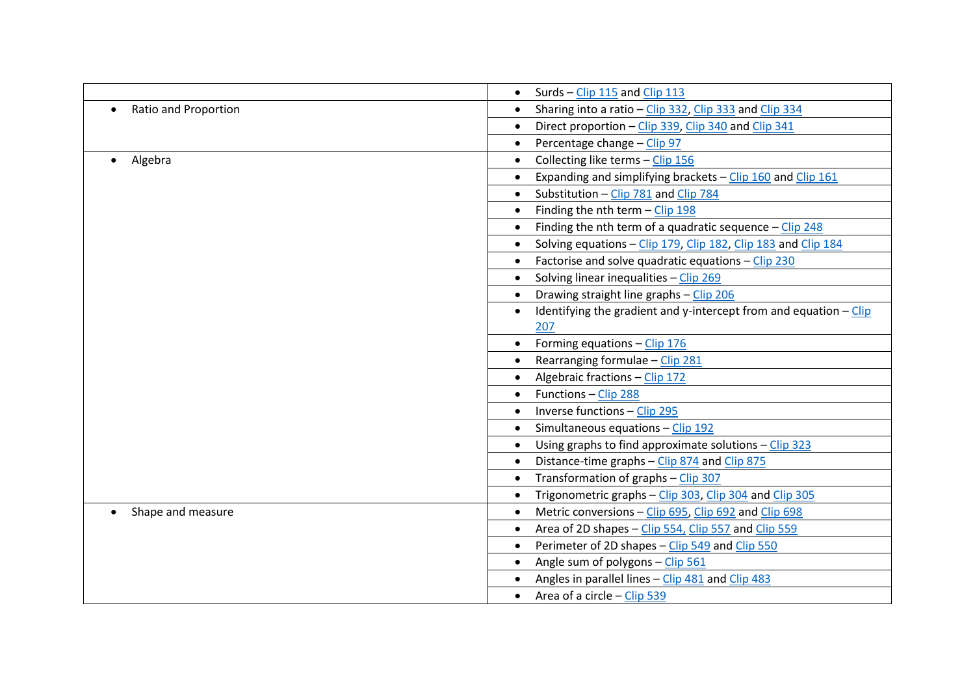|                      | Surds - Clip 115 and Clip 113                                                          |
|----------------------|----------------------------------------------------------------------------------------|
| Ratio and Proportion | Sharing into a ratio - Clip 332, Clip 333 and Clip 334                                 |
|                      | Direct proportion - Clip 339, Clip 340 and Clip 341                                    |
|                      | Percentage change - Clip 97<br>$\bullet$                                               |
| Algebra              | Collecting like terms - Clip 156                                                       |
|                      | Expanding and simplifying brackets - Clip 160 and Clip 161                             |
|                      | Substitution - Clip 781 and Clip 784                                                   |
|                      | Finding the nth term $-$ Clip 198<br>$\bullet$                                         |
|                      | Finding the nth term of a quadratic sequence $-$ Clip 248                              |
|                      | Solving equations - Clip 179, Clip 182, Clip 183 and Clip 184                          |
|                      | Factorise and solve quadratic equations - Clip 230                                     |
|                      | Solving linear inequalities - Clip 269                                                 |
|                      | Drawing straight line graphs - Clip 206<br>$\bullet$                                   |
|                      | Identifying the gradient and y-intercept from and equation $-\text{Clip}$<br>$\bullet$ |
|                      | 207                                                                                    |
|                      | Forming equations - Clip 176                                                           |
|                      | Rearranging formulae - Clip 281                                                        |
|                      | Algebraic fractions - Clip 172                                                         |
|                      | Functions - Clip 288                                                                   |
|                      | Inverse functions - Clip 295                                                           |
|                      | Simultaneous equations - Clip 192                                                      |
|                      | Using graphs to find approximate solutions - Clip 323                                  |
|                      | Distance-time graphs - Clip 874 and Clip 875<br>$\bullet$                              |
|                      | Transformation of graphs - Clip 307                                                    |
|                      | Trigonometric graphs - Clip 303, Clip 304 and Clip 305                                 |
| Shape and measure    | Metric conversions - Clip 695, Clip 692 and Clip 698                                   |
|                      | Area of 2D shapes - Clip 554, Clip 557 and Clip 559                                    |
|                      | Perimeter of 2D shapes - Clip 549 and Clip 550<br>$\bullet$                            |
|                      | Angle sum of polygons - Clip 561                                                       |
|                      | Angles in parallel lines - Clip 481 and Clip 483                                       |
|                      | Area of a circle – Clip 539<br>$\bullet$                                               |